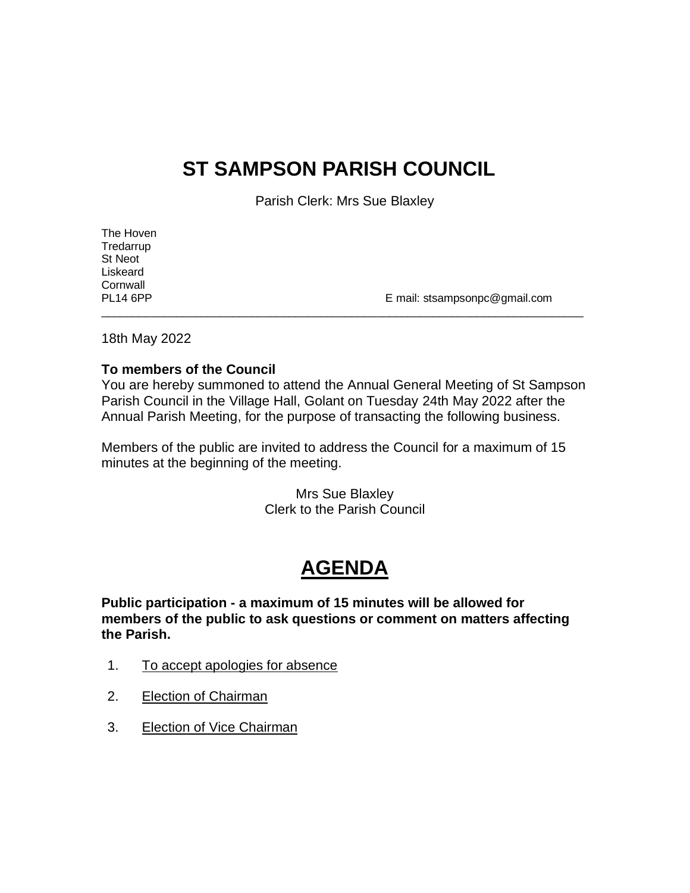## **ST SAMPSON PARISH COUNCIL**

Parish Clerk: Mrs Sue Blaxley

| The Hoven       |                               |
|-----------------|-------------------------------|
| Tredarrup       |                               |
| St Neot         |                               |
| Liskeard        |                               |
| Cornwall        |                               |
| <b>PL14 6PP</b> | E mail: stsampsonpc@gmail.com |
|                 |                               |

18th May 2022

#### **To members of the Council**

You are hereby summoned to attend the Annual General Meeting of St Sampson Parish Council in the Village Hall, Golant on Tuesday 24th May 2022 after the Annual Parish Meeting, for the purpose of transacting the following business.

Members of the public are invited to address the Council for a maximum of 15 minutes at the beginning of the meeting.

> Mrs Sue Blaxley Clerk to the Parish Council

# **AGENDA**

**Public participation - a maximum of 15 minutes will be allowed for members of the public to ask questions or comment on matters affecting the Parish.**

- 1. To accept apologies for absence
- 2. Election of Chairman
- 3. Election of Vice Chairman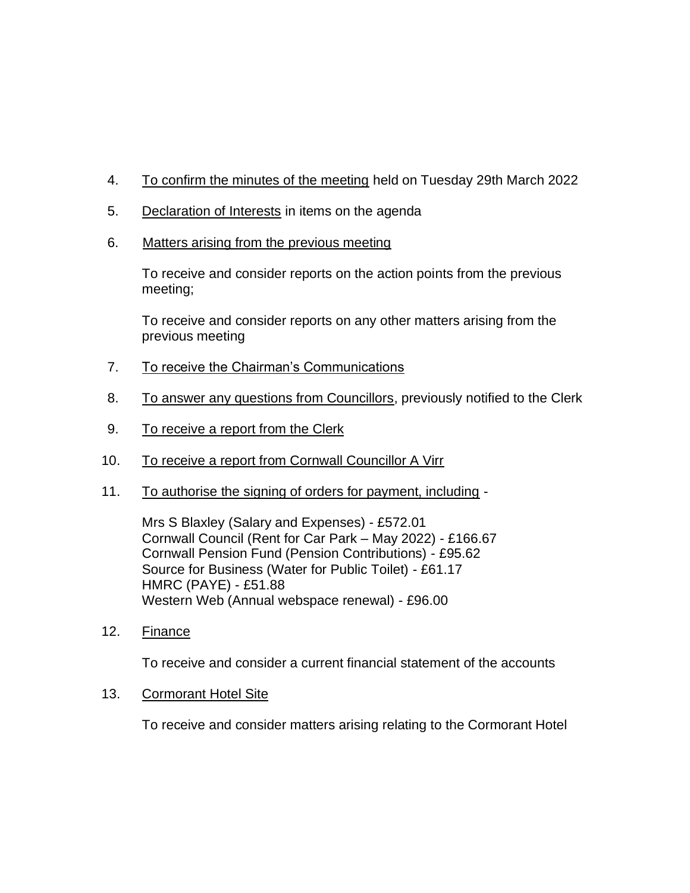- 4. To confirm the minutes of the meeting held on Tuesday 29th March 2022
- 5. Declaration of Interests in items on the agenda
- 6. Matters arising from the previous meeting

To receive and consider reports on the action points from the previous meeting;

To receive and consider reports on any other matters arising from the previous meeting

- 7. To receive the Chairman's Communications
- 8. To answer any questions from Councillors, previously notified to the Clerk
- 9. To receive a report from the Clerk
- 10. To receive a report from Cornwall Councillor A Virr
- 11. To authorise the signing of orders for payment, including -

Mrs S Blaxley (Salary and Expenses) - £572.01 Cornwall Council (Rent for Car Park – May 2022) - £166.67 Cornwall Pension Fund (Pension Contributions) - £95.62 Source for Business (Water for Public Toilet) - £61.17 HMRC (PAYE) - £51.88 Western Web (Annual webspace renewal) - £96.00

12. Finance

To receive and consider a current financial statement of the accounts

### 13. Cormorant Hotel Site

To receive and consider matters arising relating to the Cormorant Hotel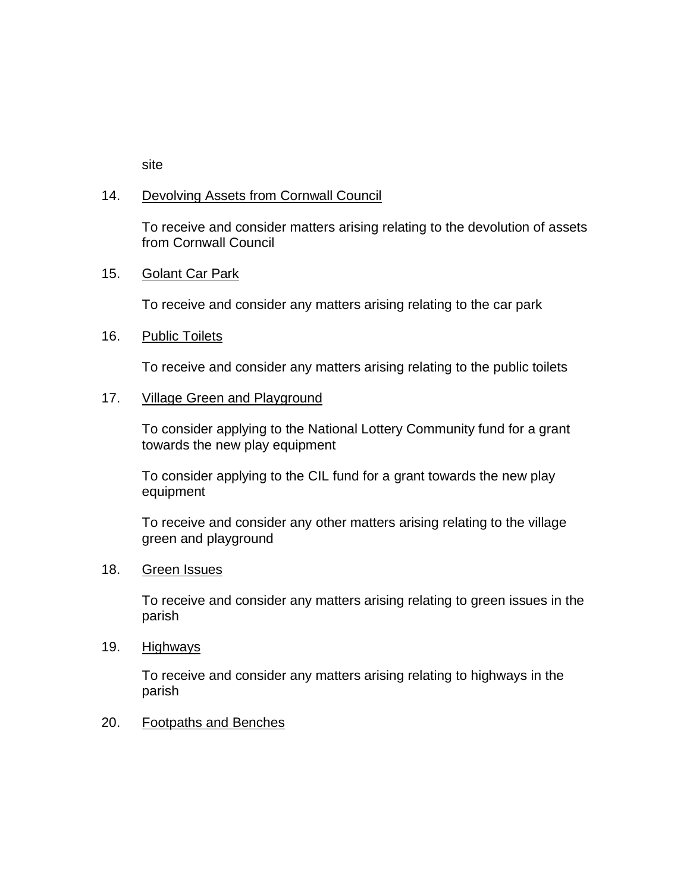site

#### 14. Devolving Assets from Cornwall Council

To receive and consider matters arising relating to the devolution of assets from Cornwall Council

#### 15. Golant Car Park

To receive and consider any matters arising relating to the car park

#### 16. Public Toilets

To receive and consider any matters arising relating to the public toilets

#### 17. Village Green and Playground

To consider applying to the National Lottery Community fund for a grant towards the new play equipment

To consider applying to the CIL fund for a grant towards the new play equipment

To receive and consider any other matters arising relating to the village green and playground

#### 18. Green Issues

To receive and consider any matters arising relating to green issues in the parish

#### 19. Highways

To receive and consider any matters arising relating to highways in the parish

#### 20. Footpaths and Benches